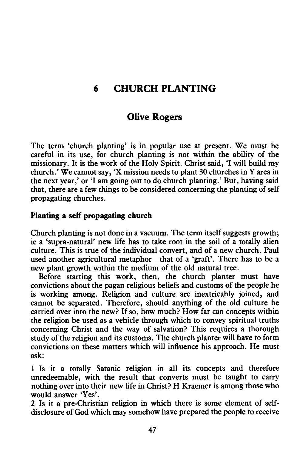# **6 CHURCH PLANTING**

# **Olive Rogers**

The term 'church planting' is in popular use at present. We must be careful in its use, for church planting is not within the ability of the missionary. It is the work of the Holy Spirit. Christ said, 'I will build my church.' We cannot say, 'X mission needs to plant 30 churches in Y area in the next year,' or 'I am going out to do church planting.' But, having said that, there are a few things to be considered concerning the planting of self propagating churches.

### **Planting a self propagating church**

Church planting is not done in a vacuum. The term itself suggests growth; ie a 'supra-natural' new life has to take root in the soil of a totally alien culture. This is true of the individual convert, and of a new church. Paul used another agricultural metaphor-that of a 'graft'. There has to be a new plant growth within the medium of the old natural tree.

Before starting this work, then, the church planter must have convictions about the pagan religious beliefs and customs of the people he is working among. Religion and culture are inextricably joined, and cannot be separated. Therefore, should anything of the old culture be carried over into the new? If so, how much? How far can concepts within the religion be used as a vehicle through which to convey spiritual truths concerning Christ and the way of salvation? This requires a thorough study of the religion and its customs. The church planter will have to form convictions on these matters which will influence his approach. He must ask:

1 Is it a totally Satanic religion in all its concepts and therefore unredeemable, with the result that converts must be taught to carry nothing over into their new life in Christ? H Kraemer is among those who would answer 'Yes'.

*2* Is it a pre-Christian religion in which there is some element of selfdisclosure of God which may somehow have prepared the people to receive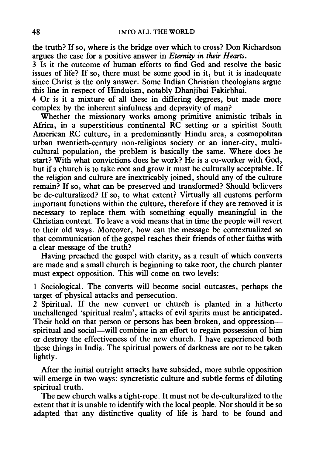the truth? If so, where is the bridge over which to cross? Don Richardson argues the case for a positive answer in *Eternity in their Hearts.* 

3 Is it the outcome of human efforts to find God and resolve the basic issues of life? If so, there must be some good in it, but it is inadequate since Christ is the only answer. Some Indian Christian theologians argue this line in respect of Hinduism, notably Dhanjibai Fakirbhai.

4 Or is it a mixture of all these in differing degrees, but made more complex by the inherent sinfulness and depravity of man?

Whether the missionary works among primitive animistic tribals in Africa, in a superstitious continental RC setting or a spiritist South American RC culture, in a predominantly Hindu area, a cosmopolitan urban twentieth-century non-religious society or an inner-city, multicultural population, the problem is basically the same. Where does he start? With what convictions does he work? He is a eo-worker with God, but if a church is to take root and grow it must be culturally acceptable. If the religion and culture are inextricably joined, should any of the culture remain? If so, what can be preserved and transformed? Should believers be de-culturalized? If so, to what extent? Virtually all customs perform important functions within the culture, therefore if they are removed it is necessary to replace them with something equally meaningful in the Christian context. To leave a void means that in time the people will revert to their old ways. Moreover, how can the message be contextualized so that communication of the gospel reaches their friends of other faiths with a clear message of the truth?

Having preached the gospel with clarity, as a result of which converts are made and a small church is beginning to take root, the church planter must expect opposition. This will come on two levels:

1 Sociological. The converts will become social outcastes, perhaps the target of physical attacks and persecution.

2 Spiritual. If the new convert or church is planted in a hitherto unchallenged 'spiritual realm', attacks of evil spirits must be anticipated. Their hold on that person or persons has been broken, and oppressionspiritual and social-will combine in an effort to regain possession of him or destroy the effectiveness of the new church. I have experienced both these things in India. The spiritual powers of darkness are not to be taken lightly.

After the initial outright attacks have subsided, more subtle opposition will emerge in two ways: syncretistic culture and subtle forms of diluting spiritual truth.

The new church walks a tight-rope. It must not be de-culturalized to the extent that it is unable to identify with the local people. Nor should it be so adapted that any distinctive quality of life is hard to be found and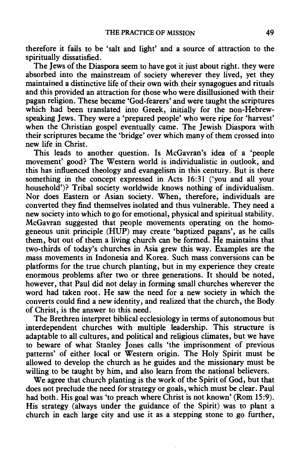therefore it fails to be 'salt and light' and a source of attraction to the spiritually dissatisfied.

The Jews of the Diaspora seem to have got it just about right. they were absorbed into the mainstream of society wherever they lived, yet they maintained a distinctive life of their own with their synagogues and rituals and this provided an attraction for those who were disillusioned with their pagan religion. These became 'God-fearers' and were taught the scriptures which had been translated into Greek, initially for the non-Hebrewspeaking Jews. They were a 'prepared people' who were ripe for 'harvest' when the Christian gospel eventually came. The Jewish Diaspora with their scriptures became the 'bridge' over which many of them crossed into new life in Christ.

This leads to another question. Is McGavran's idea of a 'people movement' good? The Western world is individualistic in outlook, and this has influenced theology and evangelism in this century. But is there something in the concept expressed in Acts 16:31 ('you and all your household')? Tribal society worldwide knows nothing of individualism. Nor does Eastern or Asian society. When, therefore, individuals are converted they find themselves isolated and thus vulnerable. They need a new society into which to go for emotional, physical and spiritual stability. McGavran suggested that people movements operating on the homogeneous unit principle (HUP) may create 'baptized pagans', as he calls them, but out of them a living church can be formed. He maintains that two-thirds of today's churches in Asia grew this way. Examples are the mass movements in Indonesia and Korea. Such mass conversions can be platforms for the true church planting, but in my experience they create enormous problems after two or three generations. It should be noted, however, that Paul did not delay in forming small churches wherever the word had taken root. He saw the need for a new society in which the converts could find a new identity, and realized 'that the church, the Body of Christ, is the answer to this need.

The Brethren interpret biblical ecclesiology in terms of autonomous but interdependent churches with multiple leadership. This structure is adaptable to all cultures, and political and religious climates, but we have to beware of what Stanley Jones calls 'the imprisonment of previous patterns' of either local or Western origin. The Holy Spirit must be allowed to develop the church as he guides and the missionary must be willing to be taught by him, and also learn from the national believers.

We agree that church planting is the work of the Spirit of God, but that does not preclude the need for strategy or goals, which must be clear. Paul had both. His goal was 'to preach where Christ is not known' (Rom 15:9). His strategy (always under the guidance of the Spirit) was to plant a church in each large city and use it as a stepping stone to go further,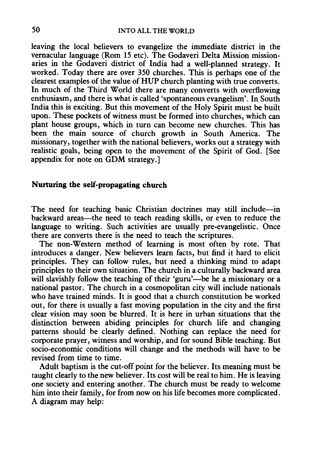leaving the local believers to evangelize the immediate district in the vernacular language (Rom 15 etc). The Godaveri Delta Mission missionaries in the Godaveri district of India had a well-planned strategy. It worked. Today there are over 350 churches. This is perhaps one of the clearest examples of the value of HUP church planting with true converts. In much of the Third World there are many converts with overflowing enthusiasm, and there is what is called 'spontaneous evangelism'. In South India this is exciting. But this movement of the Holy Spirit must be built upon. These pockets of witness must be formed into churches, which can plant house groups, which in turn can become new churches. This has been the main source of church growth in South America. The missionary, together with the national believers, works out a strategy with realistic goals, being open to the movement of the Spirit of God. [See appendix for note on GDM strategy.]

# **Nurturing the self-propagating church**

The need for teaching basic Christian doctrines may still include-in backward areas—the need to teach reading skills, or even to reduce the language to writing. Such activities are usually pre-evangelistic. Once there are converts there is the need to teach the scriptures.

The non-Western method of learning is most often by rote. That introduces a danger. New believers learn facts, but find it hard to elicit principles. They can follow rules, but need a thinking mind to adapt principles to their own situation. The church in a culturally backward area will slavishly follow the teaching of their 'guru'—be he a missionary or a national pastor. The church in a cosmopolitan city will include nationals who have trained minds. It is good that a church constitution be worked out, for there is usually a fast moving population in the city and the first clear vision may soon be blurred. It is here in urban situations that the distinction between abiding principles for church life and changing patterns should be clearly defined. Nothing can replace the need for corporate prayer, witness and worship, and for sound Bible teaching. But socio-economic conditions will change and the methods will have to be revised from time to time.

Adult baptism is the cut -off point for the believer. Its meaning must be taught clearly to the new believer. Its cost will be real to him. He is leaving one society and entering another. The church must be ready to welcome him into their family, for from now on his life becomes more complicated. A diagram may help: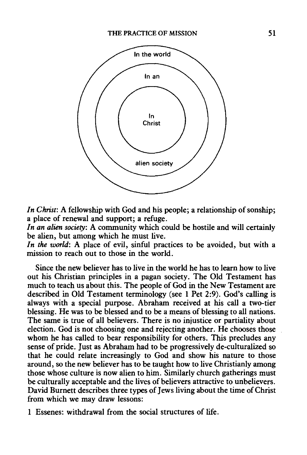

*In Christ:* A fellowship with God and his people; a relationship of sonship; a place of renewal and support; a refuge.

*In an alien society:* A community which could be hostile and will certainly be alien, but among which he must live.

*In the world:* A place of evil, sinful practices to be avoided, but with a mission to reach out to those in the world.

Since the new believer has to live in the world he has to learn how to live out his Christian principles in a pagan society. The Old Testament has much to teach us about this. The people of God in the New Testament are described in Old Testament terminology (see 1 Pet 2:9). God's calling is always with a special purpose. Abraham received at his call a two-tier blessing. He was to be blessed and to be a means of blessing to all nations. The same is true of all believers. There is no injustice or partiality about election. God is not choosing one and rejecting another. He chooses those whom he has called to bear responsibility for others. This precludes any sense of pride. Just as Abraham had to be progressively de-culturalized so that he could relate increasingly to God and show his nature to those around, so the new believer has to be taught how to live Christianly among those whose culture is now alien to him. Similarly church gatherings must be culturally acceptable and the lives of believers attractive to unbelievers. David Burnett describes three types of Jews living about the time of Christ from which we may draw lessons:

1 Essenes: withdrawal from the social structures of life.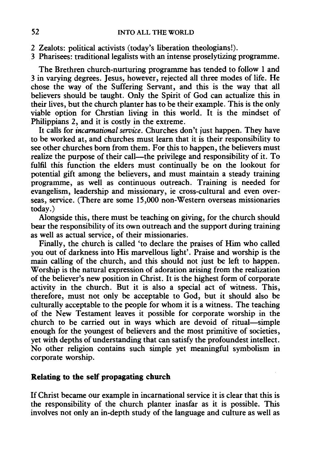- 2 Zealots: political activists (today's liberation theologians!).
- 3 Pharisees: traditional legalists with an intense proselytizing programme.

The Brethren church-nurturing programme has tended to follow 1 and 3 in varying degrees. Jesus, however, rejected all three modes of life. He chose the way of the Suffering Servant, and this is the way that all believers should be taught. Only the Spirit of God can actualize this in their lives, but the church planter has to be their example. This is the only viable option for Chrstian living in this world. It is the mindset of Philippians 2, and it is costly in the extreme.

It calls for *incarnational service.* Churches don't just happen. They have to be worked at, and churches must learn that it is their responsibility to see other churches born from them. For this to happen, the believers must realize the purpose of their call—the privilege and responsibility of it. To fulfil this function the elders must continually be on the lookout for potential gift among the believers, and must maintain a steady training programme, as well as continuous outreach. Training is needed for evangelism, leadership and missionary, ie cross-cultural and even overseas, service. (There are some 15,000 non-Western overseas missionaries today.)

Alongside this, there must be teaching on giving, for the church should bear the responsibility of its own outreach and the support during training as well as actual service, of their missionaries.

Finally, the church is called 'to declare the praises of Him who called you out of darkness into His marvellous light'. Praise and worship is the main calling of the church, and this should not just be left to happen. Worship is the natural expression of adoration arising from the realization of the believer's new position in Christ. It is the highest form of corporate activity in the church. But it is also a special act of witness. This, therefore, must not only be acceptable to God, but it should also be culturally acceptable to the people for whom it is a witness. The teaching of the New Testament leaves it possible for corporate worship in the church to be carried out in ways which are devoid of ritual-simple enough for the youngest of believers and the most primitive of societies, yet with depths of understanding that can satisfy the profoundest intellect. No other religion contains such simple yet meaningful symbolism in corporate worship.

## **Relating to the self propagating church**

If Christ became our example in incarnational service it is clear that this is the responsibility of the church planter inasfar as it is possible. This involves not only an in-depth study of the language and culture as well as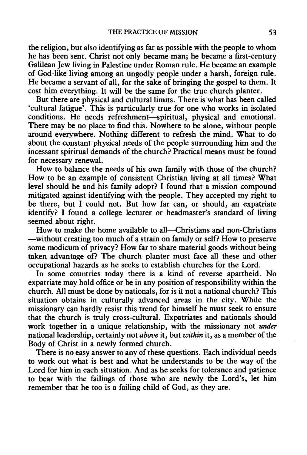the religion, but also identifying as far as possible with the people to whom he has been sent. Christ not only became man; he became a first-century Galilean Jew living in Palestine under Roman rule. He became an example of God-like living among an ungodly people under a harsh, foreign rule. He became a servant of all, for the sake of bringing the gospel to them. It cost him everything. It will be the same for the true church planter.

But there are physical and cultural limits. There is what has been called 'cultural fatigue'. This is particularly true for one who works in isolated conditions. He needs refreshment-spiritual, physical and emotional. There may be no place to find this. Nowhere to be alone, without people around everywhere. Nothing different to refresh the mind. What to do about the constant physical needs of the people surrounding him and the incessant spiritual demands of the church? Practical means must be found for necessary renewal.

How to balance the needs of his own family with those of the church? How to be an example of consistent Christian living at all times? What level should he and his family adopt? I found that a mission compound mitigated against identifying with the people. They accepted my right to be there, but I could not. But how far can, or should, an expatriate identify? I found a college lecturer or headmaster's standard of living seemed about right.

How to make the home available to all—Christians and non-Christians -without creating too much of a strain on family or self? How to preserve some modicum of privacy? How far to share material goods without being taken advantage of? The church planter must face all these and other occupational hazards as he seeks to establish churches for the Lord.

In some countries today there is a kind of reverse apartheid. No expatriate may hold office or be in any position of responsibility within the church. All must be done by nationals, for is it not a national church? This situation obtains in culturally advanced areas in the city. While the missionary can hardly resist this trend for himself he must seek to ensure that the church is truly cross-cultural. Expatriates and nationals should work together in a unique relationship, with the missionary not *under*  national leadership, certainly not *above* it, but *within* it, as a member of the Body of Christ in a newly formed church.

There is no easy answer to any of these questions. Each individual needs to work out what is best and what he understands to be the way of the Lord for him in each situation. And as he seeks for tolerance and patience to bear with the failings of those who are newly the Lord's, let him remember that he too is a failing child of God, as they are.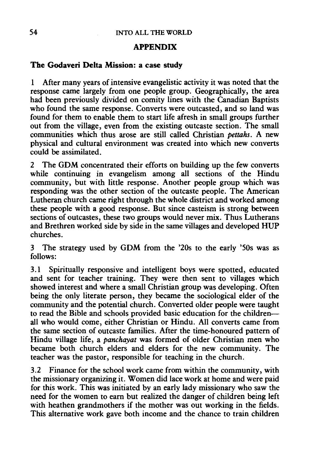#### APPENDIX

#### The Godaveri Delta Mission: a case study

1 After many years of intensive evangelistic activity it was noted that the response came largely from one people group. Geographically, the area had been previously divided on comity lines with the Canadian Baptists who found the same response. Converts were outcasted, and so land was found for them to enable them to start life afresh in small groups further out from the village, even from the existing outcaste section. The small communities which thus arose are still called Christian *pettahs.* A new physical and cultural environment was created into which new converts could be assimilated.

2 The GDM concentrated their efforts on building up the few converts while continuing in evangelism among all sections of the Hindu community, but with little response. Another people group which was responding was the other section of the outcaste people. The American Lutheran church came right through the whole district and worked among these people with a good response. But since casteism is strong between sections of outcastes, these two groups would never mix. Thus Lutherans and Brethren worked side by side in the same villages and developed HUP churches.

3 The strategy used by GDM from the '20s to the early '50s was as follows:

3.1 Spiritually responsive and intelligent boys were spotted, educated and sent for teacher training. They were then sent to villages which showed interest and where a small Christian group was developing. Often being the only literate person, they became the sociological elder of the community and the potential church. Converted older people were taught to read the Bible and schools provided basic education for the childrenall who would come, either Christian or Hindu. All converts came from the same section of outcaste families. After the time-honoured pattern of Hindu village life, a *panchayat* was formed of older Christian men who became both church elders and elders for the new community. The teacher was the pastor, responsible for teaching in the church.

3.2 Finance for the school work came from within the community, with the missionary organizing it. Women did lace work at home and were paid for this work. This was initiated by an early lady missionary who saw the need for the women to earn but realized the danger of children being left with heathen grandmothers if the mother was out working in the fields. This alternative work gave both income and the chance to train children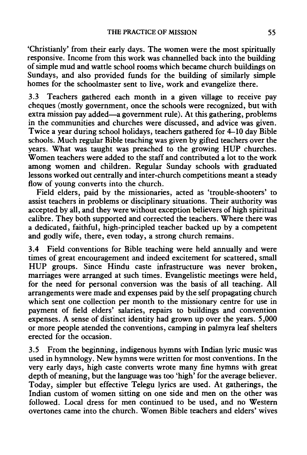'Christianly' from their early days. The women were the most spiritually responsive. Income from this work was channelled back into the building of simple mud and wattle school rooms which became church buildings on Sundays, and also provided funds for the building of similarly simple homes for the schoolmaster sent to live, work and evangelize there.

3.3 Teachers gathered each month in a given village to receive pay cheques (mostly government, once the schools were recognized, but with extra mission pay added—a government rule). At this gathering, problems in the communities and churches were discussed, and advice was given. Twice a year during school holidays, teachers gathered for 4-10 day Bible schools. Much regular Bible teaching was given by gifted teachers over the years. What was taught was preached to the growing HUP churches. Women teachers were added to the staff and contributed a lot to the work among women and children. Regular Sunday schools with graduated lessons worked out centrally and inter-church competitions meant a steady flow of young converts into the church.

Field elders, paid by the missionaries, acted as 'trouble-shooters' to assist teachers in problems or disciplinary situations. Their authority was accepted by all, and they were without exception believers of high spiritual calibre. They both supported and corrected the teachers. Where there was a dedicated, faithful, high-principled teacher backed up by a competent and godly wife, there, even today, a strong church remains.

3.4 Field conventions for Bible teaching were held annually and were times of great encouragement and indeed excitement for scattered, small HUP groups. Since Hindu caste infrastructure was never broken, marriages were arranged at such times. Evangelistic meetings were held, for the need for personal conversion was the basis of all teaching. All arrangements were made and expenses paid by the self propagating church which sent one collection per month to the missionary centre for use in payment of field elders' salaries, repairs to buildings and convention expenses. A sense of distinct identity had grown up over the years. S,OOO or more people a tended the conventions, camping in palmyra leaf shelters erected for the occasion.

3.S From the beginning, indigenous hymns with Indian lyric music was used in hymnology. New hymns were written for most conventions. In the very early days, high caste converts wrote many fine hymns with great depth of meaning, but the language was too 'high' for the average believer. Today, simpler but effective Telegu lyrics are used. At gatherings, the Indian custom of women sitting on one side and men on the other was followed. Local dress for men continued to be used, and no Western overtones came into the church. Women Bible teachers and elders' wives